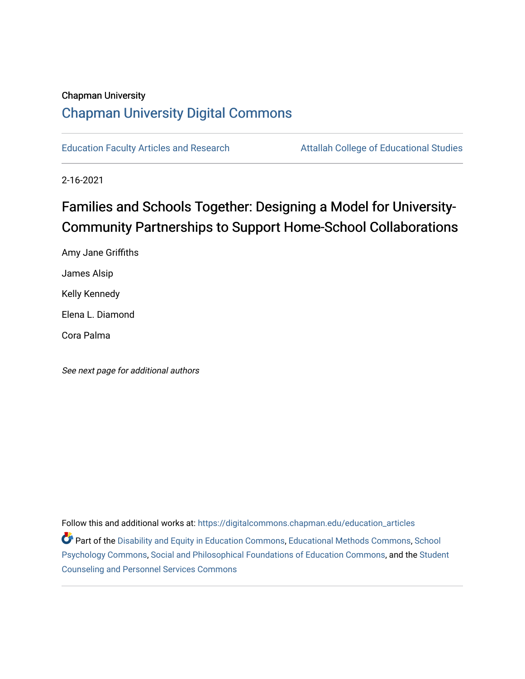### Chapman University [Chapman University Digital Commons](https://digitalcommons.chapman.edu/)

[Education Faculty Articles and Research](https://digitalcommons.chapman.edu/education_articles) **Attallah College of Educational Studies** 

2-16-2021

# Families and Schools Together: Designing a Model for University-Community Partnerships to Support Home-School Collaborations

Amy Jane Griffiths James Alsip Kelly Kennedy Elena L. Diamond Cora Palma

See next page for additional authors

Follow this and additional works at: [https://digitalcommons.chapman.edu/education\\_articles](https://digitalcommons.chapman.edu/education_articles?utm_source=digitalcommons.chapman.edu%2Feducation_articles%2F294&utm_medium=PDF&utm_campaign=PDFCoverPages) Part of the [Disability and Equity in Education Commons](http://network.bepress.com/hgg/discipline/1040?utm_source=digitalcommons.chapman.edu%2Feducation_articles%2F294&utm_medium=PDF&utm_campaign=PDFCoverPages), [Educational Methods Commons](http://network.bepress.com/hgg/discipline/1227?utm_source=digitalcommons.chapman.edu%2Feducation_articles%2F294&utm_medium=PDF&utm_campaign=PDFCoverPages), [School](http://network.bepress.com/hgg/discipline/1072?utm_source=digitalcommons.chapman.edu%2Feducation_articles%2F294&utm_medium=PDF&utm_campaign=PDFCoverPages) [Psychology Commons,](http://network.bepress.com/hgg/discipline/1072?utm_source=digitalcommons.chapman.edu%2Feducation_articles%2F294&utm_medium=PDF&utm_campaign=PDFCoverPages) [Social and Philosophical Foundations of Education Commons,](http://network.bepress.com/hgg/discipline/799?utm_source=digitalcommons.chapman.edu%2Feducation_articles%2F294&utm_medium=PDF&utm_campaign=PDFCoverPages) and the [Student](http://network.bepress.com/hgg/discipline/802?utm_source=digitalcommons.chapman.edu%2Feducation_articles%2F294&utm_medium=PDF&utm_campaign=PDFCoverPages)  [Counseling and Personnel Services Commons](http://network.bepress.com/hgg/discipline/802?utm_source=digitalcommons.chapman.edu%2Feducation_articles%2F294&utm_medium=PDF&utm_campaign=PDFCoverPages)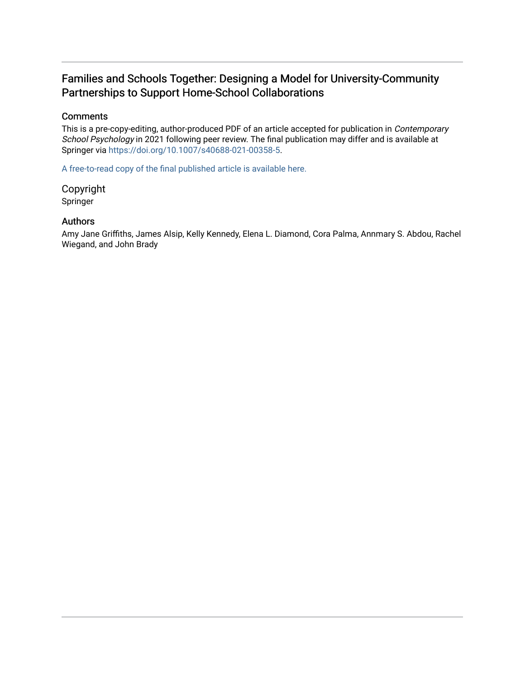### Families and Schools Together: Designing a Model for University-Community Partnerships to Support Home-School Collaborations

#### **Comments**

This is a pre-copy-editing, author-produced PDF of an article accepted for publication in Contemporary School Psychology in 2021 following peer review. The final publication may differ and is available at Springer via [https://doi.org/10.1007/s40688-021-00358-5.](https://doi.org/10.1007/s40688-021-00358-5)

[A free-to-read copy of the final published article is available here.](https://rdcu.be/chp4A) 

Copyright Springer

#### Authors

Amy Jane Griffiths, James Alsip, Kelly Kennedy, Elena L. Diamond, Cora Palma, Annmary S. Abdou, Rachel Wiegand, and John Brady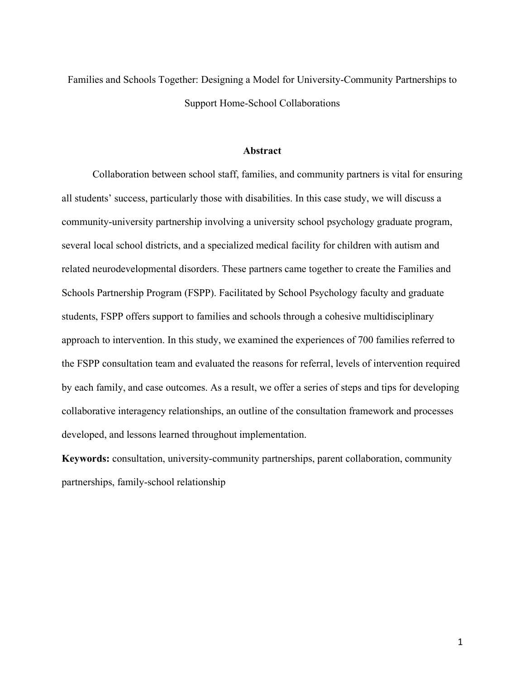Families and Schools Together: Designing a Model for University-Community Partnerships to Support Home-School Collaborations

#### **Abstract**

Collaboration between school staff, families, and community partners is vital for ensuring all students' success, particularly those with disabilities. In this case study, we will discuss a community-university partnership involving a university school psychology graduate program, several local school districts, and a specialized medical facility for children with autism and related neurodevelopmental disorders. These partners came together to create the Families and Schools Partnership Program (FSPP). Facilitated by School Psychology faculty and graduate students, FSPP offers support to families and schools through a cohesive multidisciplinary approach to intervention. In this study, we examined the experiences of 700 families referred to the FSPP consultation team and evaluated the reasons for referral, levels of intervention required by each family, and case outcomes. As a result, we offer a series of steps and tips for developing collaborative interagency relationships, an outline of the consultation framework and processes developed, and lessons learned throughout implementation.

**Keywords:** consultation, university-community partnerships, parent collaboration, community partnerships, family-school relationship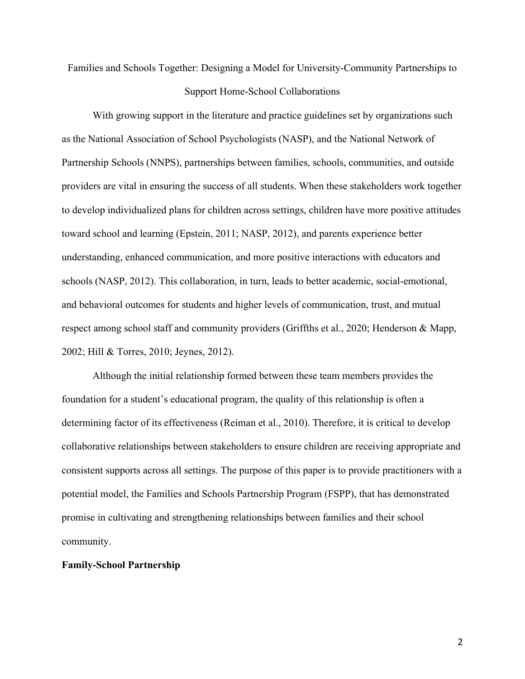Families and Schools Together: Designing a Model for University-Community Partnerships to Support Home-School Collaborations

With growing support in the literature and practice guidelines set by organizations such as the National Association of School Psychologists (NASP), and the National Network of Partnership Schools (NNPS), partnerships between families, schools, communities, and outside providers are vital in ensuring the success of all students. When these stakeholders work together to develop individualized plans for children across settings, children have more positive attitudes toward school and learning (Epstein, 2011; NASP, 2012), and parents experience better understanding, enhanced communication, and more positive interactions with educators and schools (NASP, 2012). This collaboration, in turn, leads to better academic, social-emotional, and behavioral outcomes for students and higher levels of communication, trust, and mutual respect among school staff and community providers (Griffths et al., 2020; Henderson & Mapp, 2002; Hill & Torres, 2010; Jeynes, 2012).

Although the initial relationship formed between these team members provides the foundation for a student's educational program, the quality of this relationship is often a determining factor of its effectiveness (Reiman et al., 2010). Therefore, it is critical to develop collaborative relationships between stakeholders to ensure children are receiving appropriate and consistent supports across all settings. The purpose of this paper is to provide practitioners with a potential model, the Families and Schools Partnership Program (FSPP), that has demonstrated promise in cultivating and strengthening relationships between families and their school community.

#### **Family-School Partnership**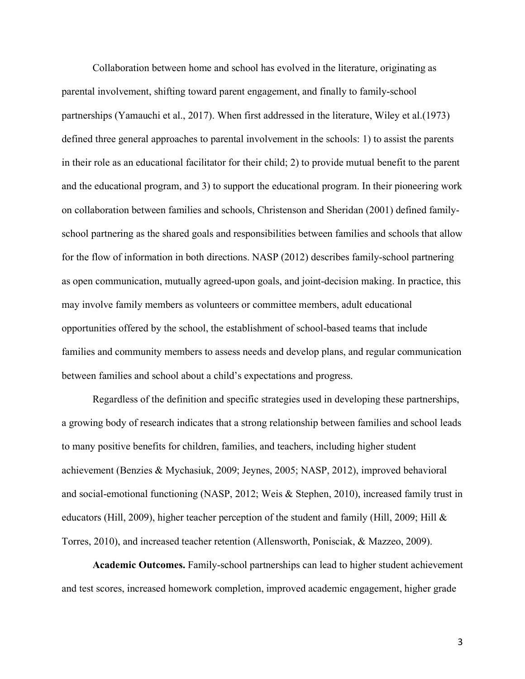Collaboration between home and school has evolved in the literature, originating as parental involvement, shifting toward parent engagement, and finally to family-school partnerships (Yamauchi et al., 2017). When first addressed in the literature, Wiley et al.(1973) defined three general approaches to parental involvement in the schools: 1) to assist the parents in their role as an educational facilitator for their child; 2) to provide mutual benefit to the parent and the educational program, and 3) to support the educational program. In their pioneering work on collaboration between families and schools, Christenson and Sheridan (2001) defined familyschool partnering as the shared goals and responsibilities between families and schools that allow for the flow of information in both directions. NASP (2012) describes family-school partnering as open communication, mutually agreed-upon goals, and joint-decision making. In practice, this may involve family members as volunteers or committee members, adult educational opportunities offered by the school, the establishment of school-based teams that include families and community members to assess needs and develop plans, and regular communication between families and school about a child's expectations and progress.

Regardless of the definition and specific strategies used in developing these partnerships, a growing body of research indicates that a strong relationship between families and school leads to many positive benefits for children, families, and teachers, including higher student achievement (Benzies & Mychasiuk, 2009; Jeynes, 2005; NASP, 2012), improved behavioral and social-emotional functioning (NASP, 2012; Weis & Stephen, 2010), increased family trust in educators (Hill, 2009), higher teacher perception of the student and family (Hill, 2009; Hill  $\&$ Torres, 2010), and increased teacher retention (Allensworth, Ponisciak, & Mazzeo, 2009).

**Academic Outcomes.** Family-school partnerships can lead to higher student achievement and test scores, increased homework completion, improved academic engagement, higher grade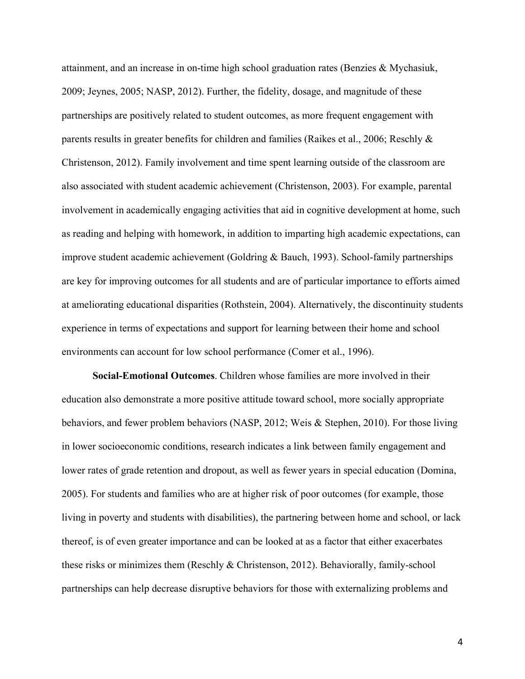attainment, and an increase in on-time high school graduation rates (Benzies & Mychasiuk, 2009; Jeynes, 2005; NASP, 2012). Further, the fidelity, dosage, and magnitude of these partnerships are positively related to student outcomes, as more frequent engagement with parents results in greater benefits for children and families (Raikes et al., 2006; Reschly & Christenson, 2012). Family involvement and time spent learning outside of the classroom are also associated with student academic achievement (Christenson, 2003). For example, parental involvement in academically engaging activities that aid in cognitive development at home, such as reading and helping with homework, in addition to imparting high academic expectations, can improve student academic achievement (Goldring & Bauch, 1993). School-family partnerships are key for improving outcomes for all students and are of particular importance to efforts aimed at ameliorating educational disparities (Rothstein, 2004). Alternatively, the discontinuity students experience in terms of expectations and support for learning between their home and school environments can account for low school performance (Comer et al., 1996).

**Social-Emotional Outcomes**. Children whose families are more involved in their education also demonstrate a more positive attitude toward school, more socially appropriate behaviors, and fewer problem behaviors (NASP, 2012; Weis & Stephen, 2010). For those living in lower socioeconomic conditions, research indicates a link between family engagement and lower rates of grade retention and dropout, as well as fewer years in special education (Domina, 2005). For students and families who are at higher risk of poor outcomes (for example, those living in poverty and students with disabilities), the partnering between home and school, or lack thereof, is of even greater importance and can be looked at as a factor that either exacerbates these risks or minimizes them (Reschly & Christenson, 2012). Behaviorally, family-school partnerships can help decrease disruptive behaviors for those with externalizing problems and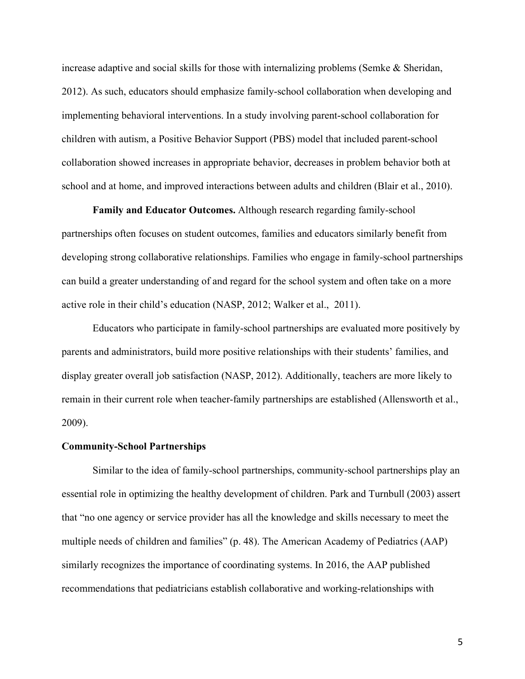increase adaptive and social skills for those with internalizing problems (Semke & Sheridan, 2012). As such, educators should emphasize family-school collaboration when developing and implementing behavioral interventions. In a study involving parent-school collaboration for children with autism, a Positive Behavior Support (PBS) model that included parent-school collaboration showed increases in appropriate behavior, decreases in problem behavior both at school and at home, and improved interactions between adults and children (Blair et al., 2010).

**Family and Educator Outcomes.** Although research regarding family-school partnerships often focuses on student outcomes, families and educators similarly benefit from developing strong collaborative relationships. Families who engage in family-school partnerships can build a greater understanding of and regard for the school system and often take on a more active role in their child's education (NASP, 2012; Walker et al., 2011).

Educators who participate in family-school partnerships are evaluated more positively by parents and administrators, build more positive relationships with their students' families, and display greater overall job satisfaction (NASP, 2012). Additionally, teachers are more likely to remain in their current role when teacher-family partnerships are established (Allensworth et al., 2009).

#### **Community-School Partnerships**

Similar to the idea of family-school partnerships, community-school partnerships play an essential role in optimizing the healthy development of children. Park and Turnbull (2003) assert that "no one agency or service provider has all the knowledge and skills necessary to meet the multiple needs of children and families" (p. 48). The American Academy of Pediatrics (AAP) similarly recognizes the importance of coordinating systems. In 2016, the AAP published recommendations that pediatricians establish collaborative and working-relationships with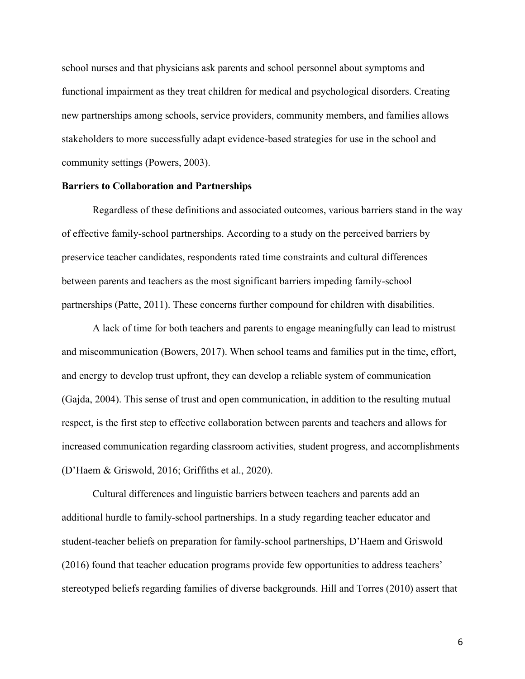school nurses and that physicians ask parents and school personnel about symptoms and functional impairment as they treat children for medical and psychological disorders. Creating new partnerships among schools, service providers, community members, and families allows stakeholders to more successfully adapt evidence-based strategies for use in the school and community settings (Powers, 2003).

#### **Barriers to Collaboration and Partnerships**

Regardless of these definitions and associated outcomes, various barriers stand in the way of effective family-school partnerships. According to a study on the perceived barriers by preservice teacher candidates, respondents rated time constraints and cultural differences between parents and teachers as the most significant barriers impeding family-school partnerships (Patte, 2011). These concerns further compound for children with disabilities.

A lack of time for both teachers and parents to engage meaningfully can lead to mistrust and miscommunication (Bowers, 2017). When school teams and families put in the time, effort, and energy to develop trust upfront, they can develop a reliable system of communication (Gajda, 2004). This sense of trust and open communication, in addition to the resulting mutual respect, is the first step to effective collaboration between parents and teachers and allows for increased communication regarding classroom activities, student progress, and accomplishments (D'Haem & Griswold, 2016; Griffiths et al., 2020).

Cultural differences and linguistic barriers between teachers and parents add an additional hurdle to family-school partnerships. In a study regarding teacher educator and student-teacher beliefs on preparation for family-school partnerships, D'Haem and Griswold (2016) found that teacher education programs provide few opportunities to address teachers' stereotyped beliefs regarding families of diverse backgrounds. Hill and Torres (2010) assert that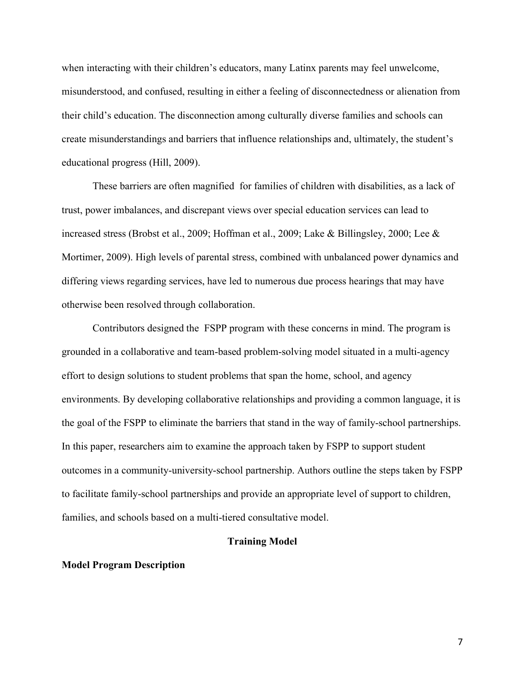when interacting with their children's educators, many Latinx parents may feel unwelcome, misunderstood, and confused, resulting in either a feeling of disconnectedness or alienation from their child's education. The disconnection among culturally diverse families and schools can create misunderstandings and barriers that influence relationships and, ultimately, the student's educational progress (Hill, 2009).

These barriers are often magnified for families of children with disabilities, as a lack of trust, power imbalances, and discrepant views over special education services can lead to increased stress (Brobst et al., 2009; Hoffman et al., 2009; Lake & Billingsley, 2000; Lee & Mortimer, 2009). High levels of parental stress, combined with unbalanced power dynamics and differing views regarding services, have led to numerous due process hearings that may have otherwise been resolved through collaboration.

Contributors designed the FSPP program with these concerns in mind. The program is grounded in a collaborative and team-based problem-solving model situated in a multi-agency effort to design solutions to student problems that span the home, school, and agency environments. By developing collaborative relationships and providing a common language, it is the goal of the FSPP to eliminate the barriers that stand in the way of family-school partnerships. In this paper, researchers aim to examine the approach taken by FSPP to support student outcomes in a community-university-school partnership. Authors outline the steps taken by FSPP to facilitate family-school partnerships and provide an appropriate level of support to children, families, and schools based on a multi-tiered consultative model.

#### **Training Model**

#### **Model Program Description**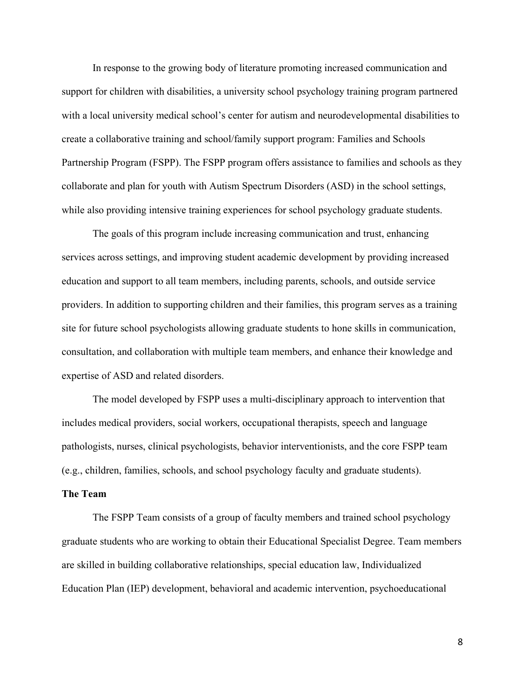In response to the growing body of literature promoting increased communication and support for children with disabilities, a university school psychology training program partnered with a local university medical school's center for autism and neurodevelopmental disabilities to create a collaborative training and school/family support program: Families and Schools Partnership Program (FSPP). The FSPP program offers assistance to families and schools as they collaborate and plan for youth with Autism Spectrum Disorders (ASD) in the school settings, while also providing intensive training experiences for school psychology graduate students.

The goals of this program include increasing communication and trust, enhancing services across settings, and improving student academic development by providing increased education and support to all team members, including parents, schools, and outside service providers. In addition to supporting children and their families, this program serves as a training site for future school psychologists allowing graduate students to hone skills in communication, consultation, and collaboration with multiple team members, and enhance their knowledge and expertise of ASD and related disorders.

The model developed by FSPP uses a multi-disciplinary approach to intervention that includes medical providers, social workers, occupational therapists, speech and language pathologists, nurses, clinical psychologists, behavior interventionists, and the core FSPP team (e.g., children, families, schools, and school psychology faculty and graduate students).

#### **The Team**

The FSPP Team consists of a group of faculty members and trained school psychology graduate students who are working to obtain their Educational Specialist Degree. Team members are skilled in building collaborative relationships, special education law, Individualized Education Plan (IEP) development, behavioral and academic intervention, psychoeducational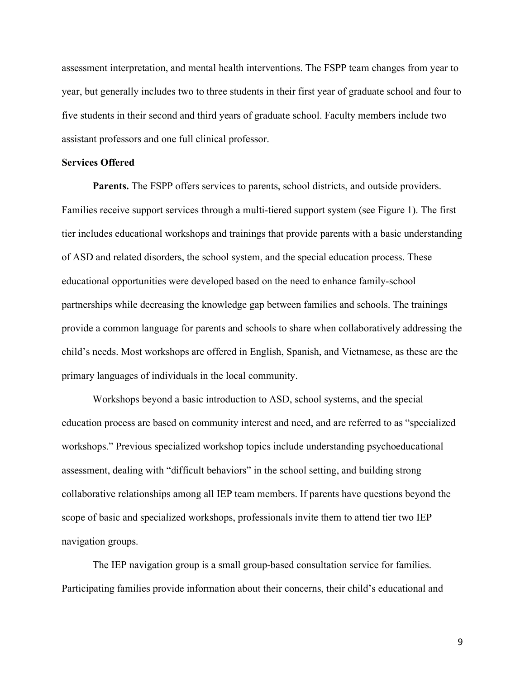assessment interpretation, and mental health interventions. The FSPP team changes from year to year, but generally includes two to three students in their first year of graduate school and four to five students in their second and third years of graduate school. Faculty members include two assistant professors and one full clinical professor.

#### **Services Offered**

**Parents.** The FSPP offers services to parents, school districts, and outside providers. Families receive support services through a multi-tiered support system (see Figure 1). The first tier includes educational workshops and trainings that provide parents with a basic understanding of ASD and related disorders, the school system, and the special education process. These educational opportunities were developed based on the need to enhance family-school partnerships while decreasing the knowledge gap between families and schools. The trainings provide a common language for parents and schools to share when collaboratively addressing the child's needs. Most workshops are offered in English, Spanish, and Vietnamese, as these are the primary languages of individuals in the local community.

Workshops beyond a basic introduction to ASD, school systems, and the special education process are based on community interest and need, and are referred to as "specialized workshops." Previous specialized workshop topics include understanding psychoeducational assessment, dealing with "difficult behaviors" in the school setting, and building strong collaborative relationships among all IEP team members. If parents have questions beyond the scope of basic and specialized workshops, professionals invite them to attend tier two IEP navigation groups.

The IEP navigation group is a small group-based consultation service for families. Participating families provide information about their concerns, their child's educational and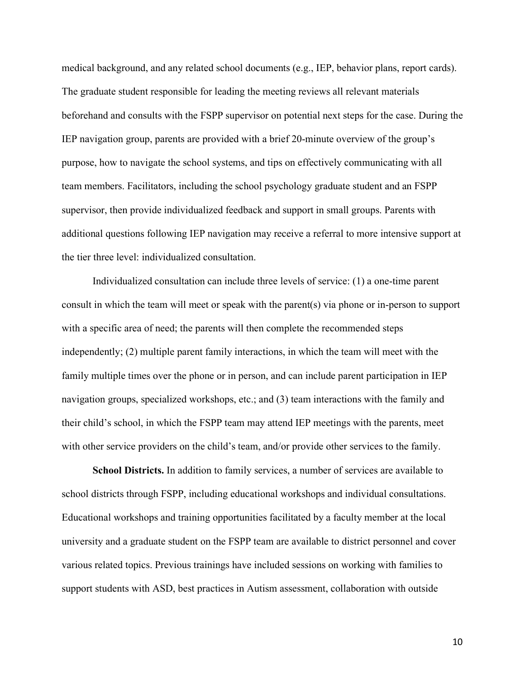medical background, and any related school documents (e.g., IEP, behavior plans, report cards). The graduate student responsible for leading the meeting reviews all relevant materials beforehand and consults with the FSPP supervisor on potential next steps for the case. During the IEP navigation group, parents are provided with a brief 20-minute overview of the group's purpose, how to navigate the school systems, and tips on effectively communicating with all team members. Facilitators, including the school psychology graduate student and an FSPP supervisor, then provide individualized feedback and support in small groups. Parents with additional questions following IEP navigation may receive a referral to more intensive support at the tier three level: individualized consultation.

Individualized consultation can include three levels of service: (1) a one-time parent consult in which the team will meet or speak with the parent(s) via phone or in-person to support with a specific area of need; the parents will then complete the recommended steps independently; (2) multiple parent family interactions, in which the team will meet with the family multiple times over the phone or in person, and can include parent participation in IEP navigation groups, specialized workshops, etc.; and (3) team interactions with the family and their child's school, in which the FSPP team may attend IEP meetings with the parents, meet with other service providers on the child's team, and/or provide other services to the family.

**School Districts.** In addition to family services, a number of services are available to school districts through FSPP, including educational workshops and individual consultations. Educational workshops and training opportunities facilitated by a faculty member at the local university and a graduate student on the FSPP team are available to district personnel and cover various related topics. Previous trainings have included sessions on working with families to support students with ASD, best practices in Autism assessment, collaboration with outside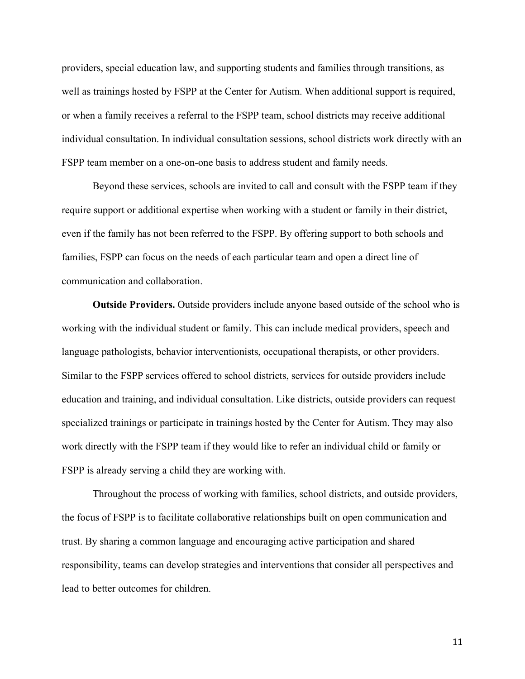providers, special education law, and supporting students and families through transitions, as well as trainings hosted by FSPP at the Center for Autism. When additional support is required, or when a family receives a referral to the FSPP team, school districts may receive additional individual consultation. In individual consultation sessions, school districts work directly with an FSPP team member on a one-on-one basis to address student and family needs.

Beyond these services, schools are invited to call and consult with the FSPP team if they require support or additional expertise when working with a student or family in their district, even if the family has not been referred to the FSPP. By offering support to both schools and families, FSPP can focus on the needs of each particular team and open a direct line of communication and collaboration.

**Outside Providers.** Outside providers include anyone based outside of the school who is working with the individual student or family. This can include medical providers, speech and language pathologists, behavior interventionists, occupational therapists, or other providers. Similar to the FSPP services offered to school districts, services for outside providers include education and training, and individual consultation. Like districts, outside providers can request specialized trainings or participate in trainings hosted by the Center for Autism. They may also work directly with the FSPP team if they would like to refer an individual child or family or FSPP is already serving a child they are working with.

Throughout the process of working with families, school districts, and outside providers, the focus of FSPP is to facilitate collaborative relationships built on open communication and trust. By sharing a common language and encouraging active participation and shared responsibility, teams can develop strategies and interventions that consider all perspectives and lead to better outcomes for children.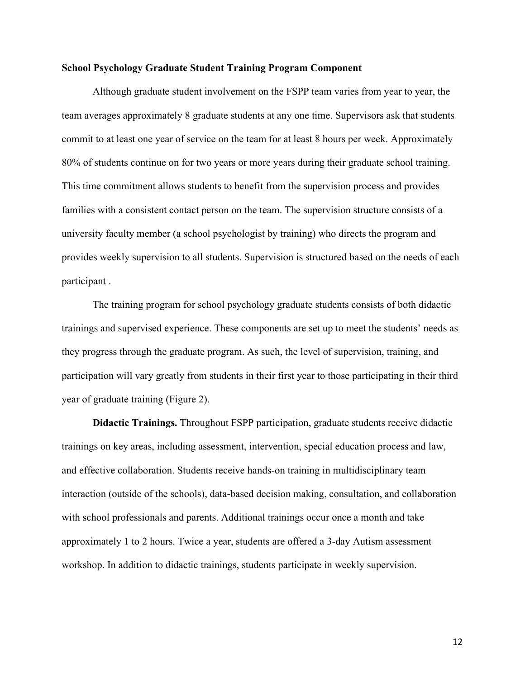#### **School Psychology Graduate Student Training Program Component**

Although graduate student involvement on the FSPP team varies from year to year, the team averages approximately 8 graduate students at any one time. Supervisors ask that students commit to at least one year of service on the team for at least 8 hours per week. Approximately 80% of students continue on for two years or more years during their graduate school training. This time commitment allows students to benefit from the supervision process and provides families with a consistent contact person on the team. The supervision structure consists of a university faculty member (a school psychologist by training) who directs the program and provides weekly supervision to all students. Supervision is structured based on the needs of each participant .

The training program for school psychology graduate students consists of both didactic trainings and supervised experience. These components are set up to meet the students' needs as they progress through the graduate program. As such, the level of supervision, training, and participation will vary greatly from students in their first year to those participating in their third year of graduate training (Figure 2).

**Didactic Trainings.** Throughout FSPP participation, graduate students receive didactic trainings on key areas, including assessment, intervention, special education process and law, and effective collaboration. Students receive hands-on training in multidisciplinary team interaction (outside of the schools), data-based decision making, consultation, and collaboration with school professionals and parents. Additional trainings occur once a month and take approximately 1 to 2 hours. Twice a year, students are offered a 3-day Autism assessment workshop. In addition to didactic trainings, students participate in weekly supervision.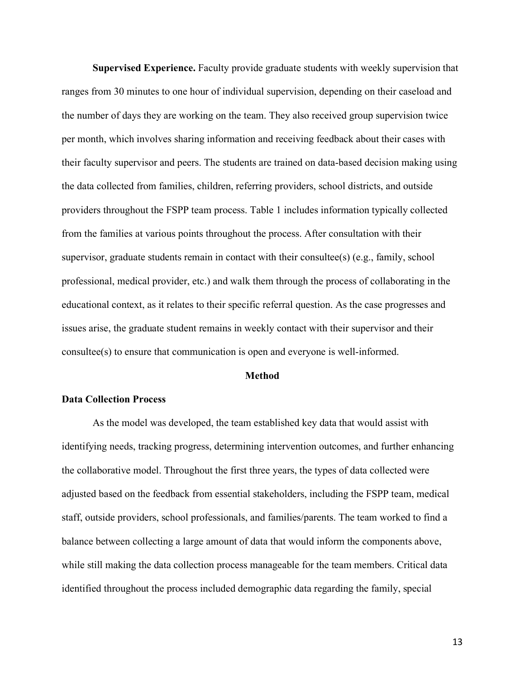**Supervised Experience.** Faculty provide graduate students with weekly supervision that ranges from 30 minutes to one hour of individual supervision, depending on their caseload and the number of days they are working on the team. They also received group supervision twice per month, which involves sharing information and receiving feedback about their cases with their faculty supervisor and peers. The students are trained on data-based decision making using the data collected from families, children, referring providers, school districts, and outside providers throughout the FSPP team process. Table 1 includes information typically collected from the families at various points throughout the process. After consultation with their supervisor, graduate students remain in contact with their consultee(s) (e.g., family, school professional, medical provider, etc.) and walk them through the process of collaborating in the educational context, as it relates to their specific referral question. As the case progresses and issues arise, the graduate student remains in weekly contact with their supervisor and their consultee(s) to ensure that communication is open and everyone is well-informed.

#### **Method**

#### **Data Collection Process**

As the model was developed, the team established key data that would assist with identifying needs, tracking progress, determining intervention outcomes, and further enhancing the collaborative model. Throughout the first three years, the types of data collected were adjusted based on the feedback from essential stakeholders, including the FSPP team, medical staff, outside providers, school professionals, and families/parents. The team worked to find a balance between collecting a large amount of data that would inform the components above, while still making the data collection process manageable for the team members. Critical data identified throughout the process included demographic data regarding the family, special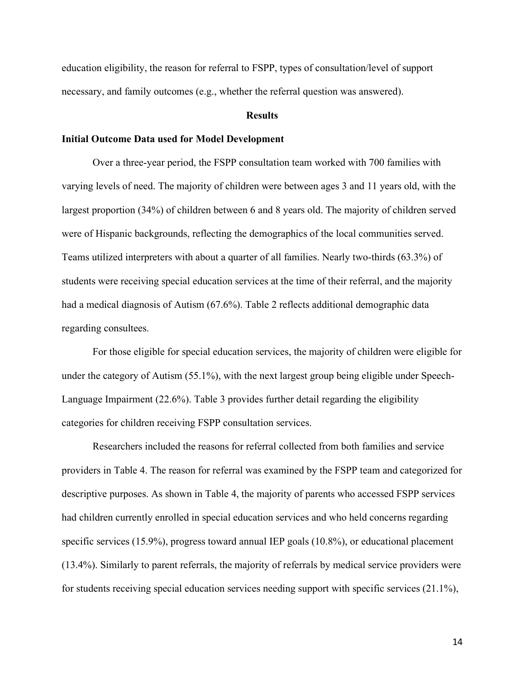education eligibility, the reason for referral to FSPP, types of consultation/level of support necessary, and family outcomes (e.g., whether the referral question was answered).

#### **Results**

#### **Initial Outcome Data used for Model Development**

Over a three-year period, the FSPP consultation team worked with 700 families with varying levels of need. The majority of children were between ages 3 and 11 years old, with the largest proportion (34%) of children between 6 and 8 years old. The majority of children served were of Hispanic backgrounds, reflecting the demographics of the local communities served. Teams utilized interpreters with about a quarter of all families. Nearly two-thirds (63.3%) of students were receiving special education services at the time of their referral, and the majority had a medical diagnosis of Autism (67.6%). Table 2 reflects additional demographic data regarding consultees.

For those eligible for special education services, the majority of children were eligible for under the category of Autism (55.1%), with the next largest group being eligible under Speech-Language Impairment (22.6%). Table 3 provides further detail regarding the eligibility categories for children receiving FSPP consultation services.

Researchers included the reasons for referral collected from both families and service providers in Table 4. The reason for referral was examined by the FSPP team and categorized for descriptive purposes. As shown in Table 4, the majority of parents who accessed FSPP services had children currently enrolled in special education services and who held concerns regarding specific services (15.9%), progress toward annual IEP goals (10.8%), or educational placement (13.4%). Similarly to parent referrals, the majority of referrals by medical service providers were for students receiving special education services needing support with specific services (21.1%),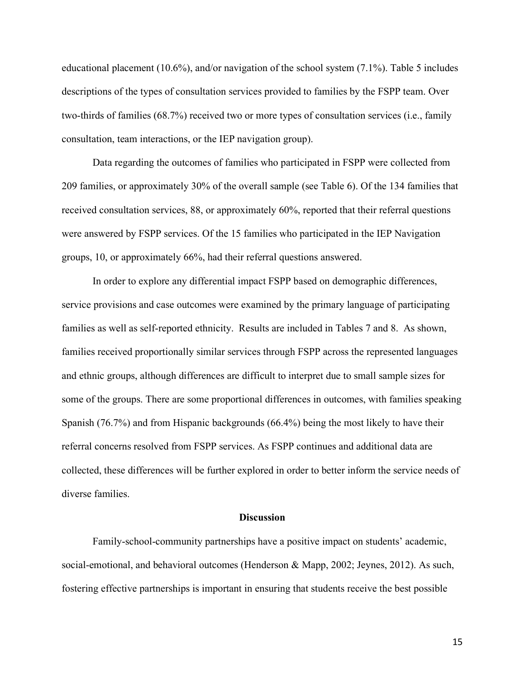educational placement (10.6%), and/or navigation of the school system (7.1%). Table 5 includes descriptions of the types of consultation services provided to families by the FSPP team. Over two-thirds of families (68.7%) received two or more types of consultation services (i.e., family consultation, team interactions, or the IEP navigation group).

Data regarding the outcomes of families who participated in FSPP were collected from 209 families, or approximately 30% of the overall sample (see Table 6). Of the 134 families that received consultation services, 88, or approximately 60%, reported that their referral questions were answered by FSPP services. Of the 15 families who participated in the IEP Navigation groups, 10, or approximately 66%, had their referral questions answered.

In order to explore any differential impact FSPP based on demographic differences, service provisions and case outcomes were examined by the primary language of participating families as well as self-reported ethnicity. Results are included in Tables 7 and 8. As shown, families received proportionally similar services through FSPP across the represented languages and ethnic groups, although differences are difficult to interpret due to small sample sizes for some of the groups. There are some proportional differences in outcomes, with families speaking Spanish (76.7%) and from Hispanic backgrounds (66.4%) being the most likely to have their referral concerns resolved from FSPP services. As FSPP continues and additional data are collected, these differences will be further explored in order to better inform the service needs of diverse families.

#### **Discussion**

Family-school-community partnerships have a positive impact on students' academic, social-emotional, and behavioral outcomes (Henderson & Mapp, 2002; Jeynes, 2012). As such, fostering effective partnerships is important in ensuring that students receive the best possible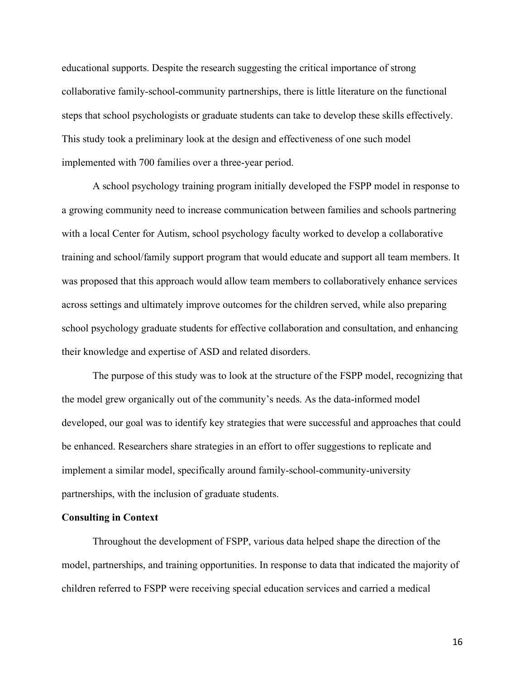educational supports. Despite the research suggesting the critical importance of strong collaborative family-school-community partnerships, there is little literature on the functional steps that school psychologists or graduate students can take to develop these skills effectively. This study took a preliminary look at the design and effectiveness of one such model implemented with 700 families over a three-year period.

A school psychology training program initially developed the FSPP model in response to a growing community need to increase communication between families and schools partnering with a local Center for Autism, school psychology faculty worked to develop a collaborative training and school/family support program that would educate and support all team members. It was proposed that this approach would allow team members to collaboratively enhance services across settings and ultimately improve outcomes for the children served, while also preparing school psychology graduate students for effective collaboration and consultation, and enhancing their knowledge and expertise of ASD and related disorders.

The purpose of this study was to look at the structure of the FSPP model, recognizing that the model grew organically out of the community's needs. As the data-informed model developed, our goal was to identify key strategies that were successful and approaches that could be enhanced. Researchers share strategies in an effort to offer suggestions to replicate and implement a similar model, specifically around family-school-community-university partnerships, with the inclusion of graduate students.

#### **Consulting in Context**

Throughout the development of FSPP, various data helped shape the direction of the model, partnerships, and training opportunities. In response to data that indicated the majority of children referred to FSPP were receiving special education services and carried a medical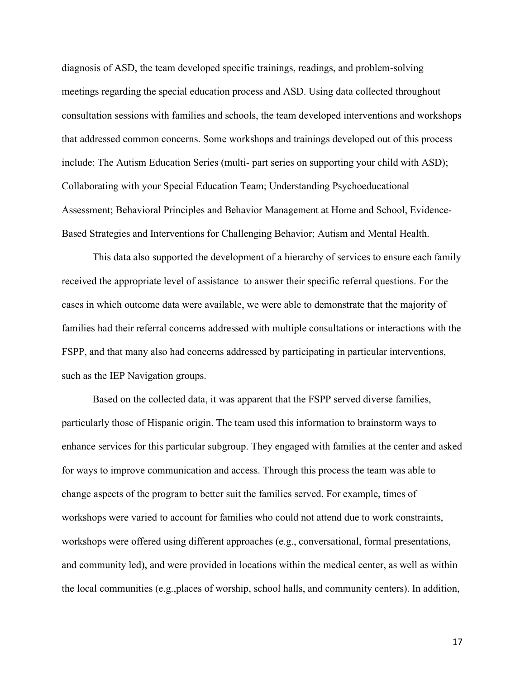diagnosis of ASD, the team developed specific trainings, readings, and problem-solving meetings regarding the special education process and ASD. Using data collected throughout consultation sessions with families and schools, the team developed interventions and workshops that addressed common concerns. Some workshops and trainings developed out of this process include: The Autism Education Series (multi- part series on supporting your child with ASD); Collaborating with your Special Education Team; Understanding Psychoeducational Assessment; Behavioral Principles and Behavior Management at Home and School, Evidence-Based Strategies and Interventions for Challenging Behavior; Autism and Mental Health.

This data also supported the development of a hierarchy of services to ensure each family received the appropriate level of assistance to answer their specific referral questions. For the cases in which outcome data were available, we were able to demonstrate that the majority of families had their referral concerns addressed with multiple consultations or interactions with the FSPP, and that many also had concerns addressed by participating in particular interventions, such as the IEP Navigation groups.

Based on the collected data, it was apparent that the FSPP served diverse families, particularly those of Hispanic origin. The team used this information to brainstorm ways to enhance services for this particular subgroup. They engaged with families at the center and asked for ways to improve communication and access. Through this process the team was able to change aspects of the program to better suit the families served. For example, times of workshops were varied to account for families who could not attend due to work constraints, workshops were offered using different approaches (e.g., conversational, formal presentations, and community led), and were provided in locations within the medical center, as well as within the local communities (e.g.,places of worship, school halls, and community centers). In addition,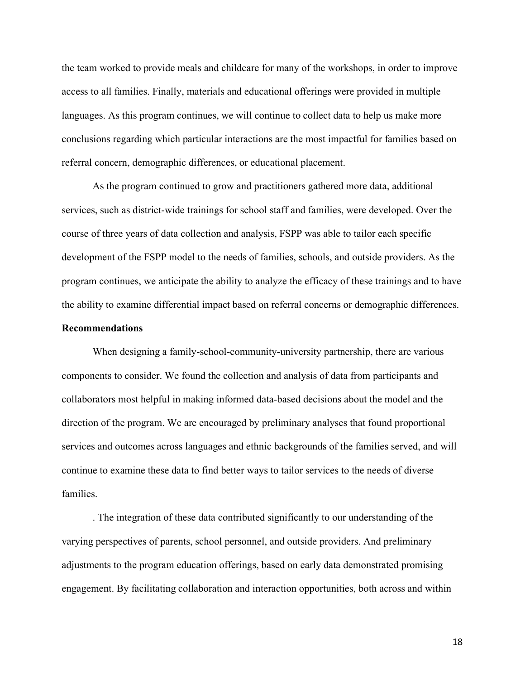the team worked to provide meals and childcare for many of the workshops, in order to improve access to all families. Finally, materials and educational offerings were provided in multiple languages. As this program continues, we will continue to collect data to help us make more conclusions regarding which particular interactions are the most impactful for families based on referral concern, demographic differences, or educational placement.

As the program continued to grow and practitioners gathered more data, additional services, such as district-wide trainings for school staff and families, were developed. Over the course of three years of data collection and analysis, FSPP was able to tailor each specific development of the FSPP model to the needs of families, schools, and outside providers. As the program continues, we anticipate the ability to analyze the efficacy of these trainings and to have the ability to examine differential impact based on referral concerns or demographic differences.

#### **Recommendations**

When designing a family-school-community-university partnership, there are various components to consider. We found the collection and analysis of data from participants and collaborators most helpful in making informed data-based decisions about the model and the direction of the program. We are encouraged by preliminary analyses that found proportional services and outcomes across languages and ethnic backgrounds of the families served, and will continue to examine these data to find better ways to tailor services to the needs of diverse families.

. The integration of these data contributed significantly to our understanding of the varying perspectives of parents, school personnel, and outside providers. And preliminary adjustments to the program education offerings, based on early data demonstrated promising engagement. By facilitating collaboration and interaction opportunities, both across and within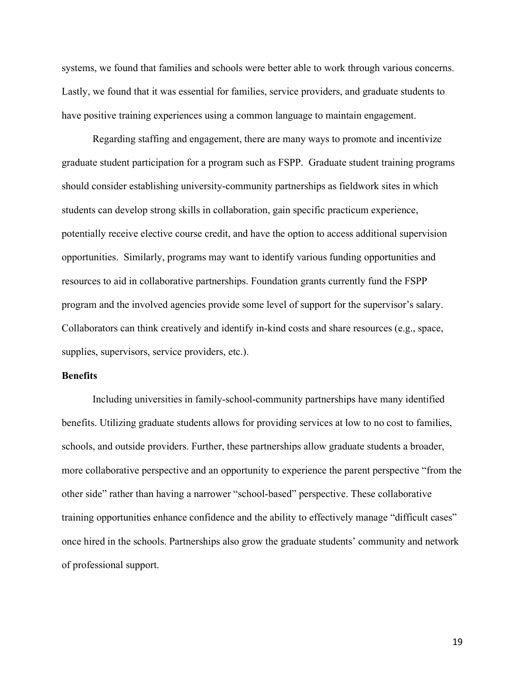systems, we found that families and schools were better able to work through various concerns. Lastly, we found that it was essential for families, service providers, and graduate students to have positive training experiences using a common language to maintain engagement.

Regarding staffing and engagement, there are many ways to promote and incentivize graduate student participation for a program such as FSPP. Graduate student training programs should consider establishing university-community partnerships as fieldwork sites in which students can develop strong skills in collaboration, gain specific practicum experience, potentially receive elective course credit, and have the option to access additional supervision opportunities. Similarly, programs may want to identify various funding opportunities and resources to aid in collaborative partnerships. Foundation grants currently fund the FSPP program and the involved agencies provide some level of support for the supervisor's salary. Collaborators can think creatively and identify in-kind costs and share resources (e.g., space, supplies, supervisors, service providers, etc.).

#### **Benefits**

Including universities in family-school-community partnerships have many identified benefits. Utilizing graduate students allows for providing services at low to no cost to families, schools, and outside providers. Further, these partnerships allow graduate students a broader, more collaborative perspective and an opportunity to experience the parent perspective "from the other side" rather than having a narrower "school-based" perspective. These collaborative training opportunities enhance confidence and the ability to effectively manage "difficult cases" once hired in the schools. Partnerships also grow the graduate students' community and network of professional support.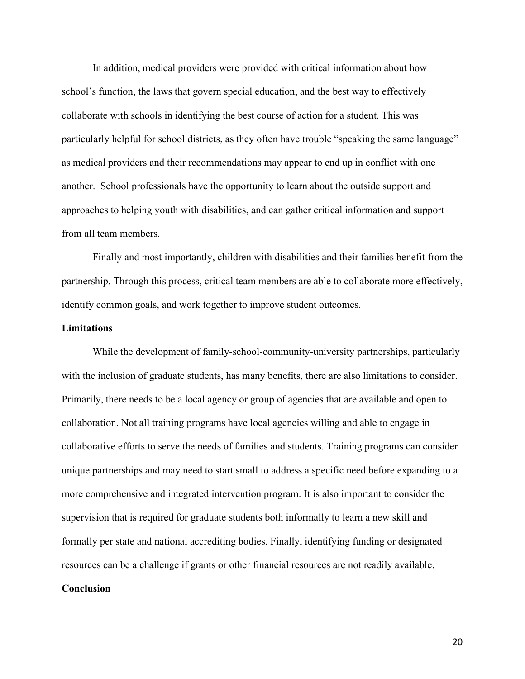In addition, medical providers were provided with critical information about how school's function, the laws that govern special education, and the best way to effectively collaborate with schools in identifying the best course of action for a student. This was particularly helpful for school districts, as they often have trouble "speaking the same language" as medical providers and their recommendations may appear to end up in conflict with one another. School professionals have the opportunity to learn about the outside support and approaches to helping youth with disabilities, and can gather critical information and support from all team members.

Finally and most importantly, children with disabilities and their families benefit from the partnership. Through this process, critical team members are able to collaborate more effectively, identify common goals, and work together to improve student outcomes.

#### **Limitations**

While the development of family-school-community-university partnerships, particularly with the inclusion of graduate students, has many benefits, there are also limitations to consider. Primarily, there needs to be a local agency or group of agencies that are available and open to collaboration. Not all training programs have local agencies willing and able to engage in collaborative efforts to serve the needs of families and students. Training programs can consider unique partnerships and may need to start small to address a specific need before expanding to a more comprehensive and integrated intervention program. It is also important to consider the supervision that is required for graduate students both informally to learn a new skill and formally per state and national accrediting bodies. Finally, identifying funding or designated resources can be a challenge if grants or other financial resources are not readily available.

#### **Conclusion**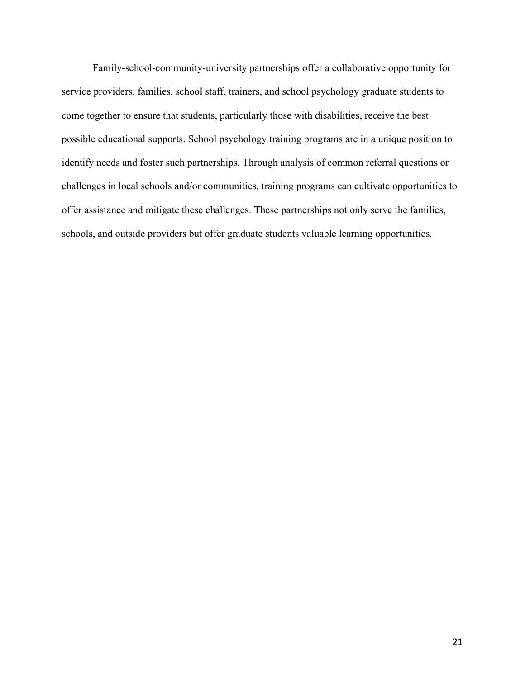Family-school-community-university partnerships offer a collaborative opportunity for service providers, families, school staff, trainers, and school psychology graduate students to come together to ensure that students, particularly those with disabilities, receive the best possible educational supports. School psychology training programs are in a unique position to identify needs and foster such partnerships. Through analysis of common referral questions or challenges in local schools and/or communities, training programs can cultivate opportunities to offer assistance and mitigate these challenges. These partnerships not only serve the families, schools, and outside providers but offer graduate students valuable learning opportunities.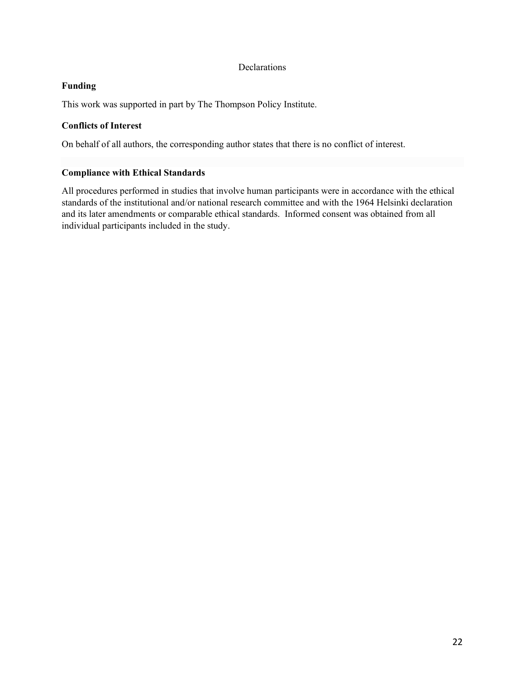#### Declarations

#### **Funding**

This work was supported in part by The Thompson Policy Institute.

#### **Conflicts of Interest**

On behalf of all authors, the corresponding author states that there is no conflict of interest.

### **Compliance with Ethical Standards**

All procedures performed in studies that involve human participants were in accordance with the ethical standards of the institutional and/or national research committee and with the 1964 Helsinki declaration and its later amendments or comparable ethical standards. Informed consent was obtained from all individual participants included in the study.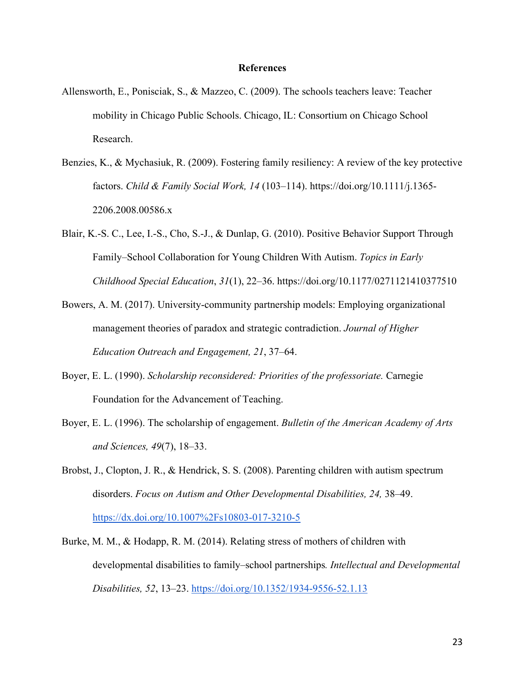#### **References**

- Allensworth, E., Ponisciak, S., & Mazzeo, C. (2009). The schools teachers leave: Teacher mobility in Chicago Public Schools. Chicago, IL: Consortium on Chicago School Research.
- Benzies, K., & Mychasiuk, R. (2009). Fostering family resiliency: A review of the key protective factors. *Child & Family Social Work, 14* (103–114). [https://doi.org/10.1111/j.1365-](https://doi.org/10.1111/j.1365-2206.2008.00586.x) [2206.2008.00586.x](https://doi.org/10.1111/j.1365-2206.2008.00586.x)
- Blair, K.-S. C., Lee, I.-S., Cho, S.-J., & Dunlap, G. (2010). Positive Behavior Support Through Family–School Collaboration for Young Children With Autism. *Topics in Early Childhood Special Education*, *31*(1), 22–36. https://doi.org/10.1177/0271121410377510
- Bowers, A. M. (2017). University-community partnership models: Employing organizational management theories of paradox and strategic contradiction. *Journal of Higher Education Outreach and Engagement, 21*, 37–64.
- Boyer, E. L. (1990). *Scholarship reconsidered: Priorities of the professoriate.* Carnegie Foundation for the Advancement of Teaching.
- Boyer, E. L. (1996). The scholarship of engagement. *Bulletin of the American Academy of Arts and Sciences, 49*(7), 18–33.
- Brobst, J., Clopton, J. R., & Hendrick, S. S. (2008). Parenting children with autism spectrum disorders. *Focus on Autism and Other Developmental Disabilities, 24,* 38–49. <https://dx.doi.org/10.1007%2Fs10803-017-3210-5>
- Burke, M. M., & Hodapp, R. M. (2014). Relating stress of mothers of children with developmental disabilities to family–school partnerships*. Intellectual and Developmental Disabilities, 52*, 13–23.<https://doi.org/10.1352/1934-9556-52.1.13>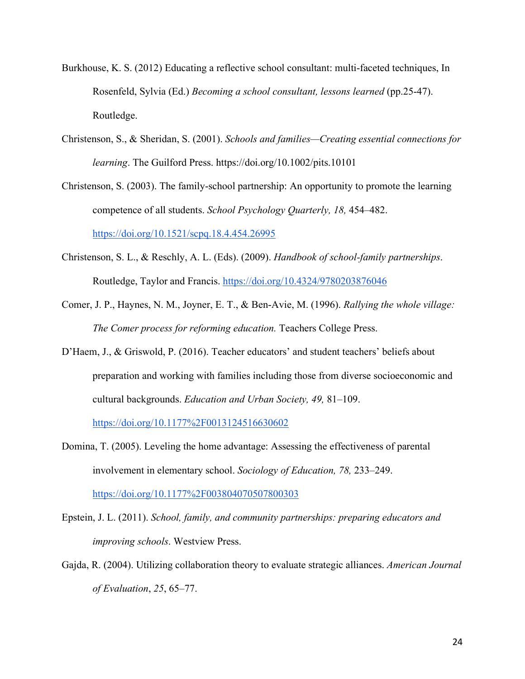- Burkhouse, K. S. (2012) Educating a reflective school consultant: multi-faceted techniques, In Rosenfeld, Sylvia (Ed.) *Becoming a school consultant, lessons learned* (pp.25-47). Routledge.
- Christenson, S., & Sheridan, S. (2001). *Schools and families—Creating essential connections for learning*. The Guilford Press.<https://doi.org/10.1002/pits.10101>
- Christenson, S. (2003). The family-school partnership: An opportunity to promote the learning competence of all students. *School Psychology Quarterly, 18,* 454–482. <https://doi.org/10.1521/scpq.18.4.454.26995>
- Christenson, S. L., & Reschly, A. L. (Eds). (2009). *Handbook of school-family partnerships*. Routledge, Taylor and Francis.<https://doi.org/10.4324/9780203876046>
- Comer, J. P., Haynes, N. M., Joyner, E. T., & Ben-Avie, M. (1996). *Rallying the whole village: The Comer process for reforming education.* Teachers College Press.
- D'Haem, J., & Griswold, P. (2016). Teacher educators' and student teachers' beliefs about preparation and working with families including those from diverse socioeconomic and cultural backgrounds. *Education and Urban Society, 49,* 81–109.

<https://doi.org/10.1177%2F0013124516630602>

- Domina, T. (2005). Leveling the home advantage: Assessing the effectiveness of parental involvement in elementary school. *Sociology of Education, 78,* 233–249. <https://doi.org/10.1177%2F003804070507800303>
- Epstein, J. L. (2011). *School, family, and community partnerships: preparing educators and improving schools*. Westview Press.
- Gajda, R. (2004). Utilizing collaboration theory to evaluate strategic alliances. *American Journal of Evaluation*, *25*, 65–77.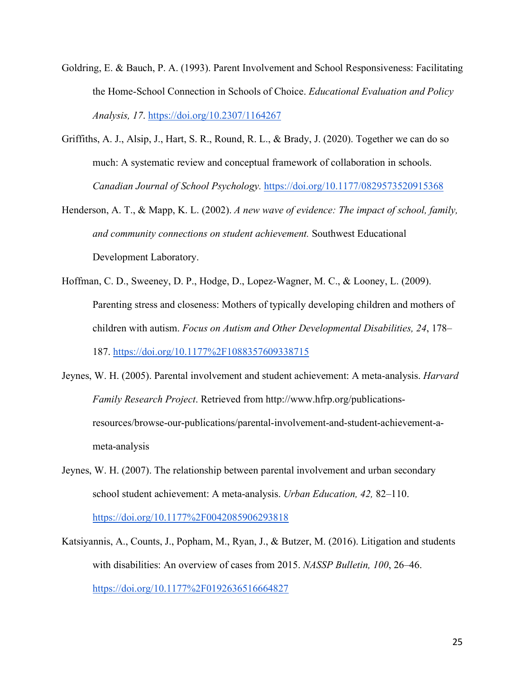- Goldring, E. & Bauch, P. A. (1993). Parent Involvement and School Responsiveness: Facilitating the Home-School Connection in Schools of Choice. *Educational Evaluation and Policy Analysis, 17*. [https://doi.org/10.2307/1164267](https://www.researchgate.net/deref/http%3A%2F%2Fdx.doi.org%2F10.2307%2F1164267)
- Griffiths, A. J., Alsip, J., Hart, S. R., Round, R. L., & Brady, J. (2020). Together we can do so much: A systematic review and conceptual framework of collaboration in schools. *Canadian Journal of School Psychology.* <https://doi.org/10.1177/0829573520915368>
- Henderson, A. T., & Mapp, K. L. (2002). *A new wave of evidence: The impact of school, family, and community connections on student achievement.* Southwest Educational Development Laboratory.
- Hoffman, C. D., Sweeney, D. P., Hodge, D., Lopez-Wagner, M. C., & Looney, L. (2009). Parenting stress and closeness: Mothers of typically developing children and mothers of children with autism. *Focus on Autism and Other Developmental Disabilities, 24*, 178– 187.<https://doi.org/10.1177%2F1088357609338715>
- Jeynes, W. H. (2005). Parental involvement and student achievement: A meta-analysis. *Harvard Family Research Project*. Retrieved from http://www.hfrp.org/publicationsresources/browse-our-publications/parental-involvement-and-student-achievement-ameta-analysis
- Jeynes, W. H. (2007). The relationship between parental involvement and urban secondary school student achievement: A meta-analysis. *Urban Education, 42,* 82–110. <https://doi.org/10.1177%2F0042085906293818>
- Katsiyannis, A., Counts, J., Popham, M., Ryan, J., & Butzer, M. (2016). Litigation and students with disabilities: An overview of cases from 2015. *NASSP Bulletin, 100*, 26–46. <https://doi.org/10.1177%2F0192636516664827>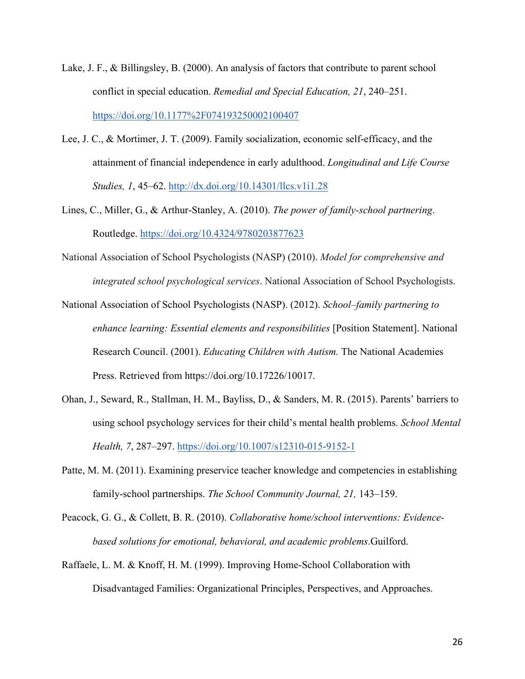- Lake, J. F., & Billingsley, B. (2000). An analysis of factors that contribute to parent school conflict in special education. *Remedial and Special Education, 21*, 240–251. <https://doi.org/10.1177%2F074193250002100407>
- Lee, J. C., & Mortimer, J. T. (2009). Family socialization, economic self-efficacy, and the attainment of financial independence in early adulthood. *Longitudinal and Life Course Studies, 1*, 45–62.<http://dx.doi.org/10.14301/llcs.v1i1.28>
- Lines, C., Miller, G., & Arthur-Stanley, A. (2010). *The power of family-school partnering*. Routledge.<https://doi.org/10.4324/9780203877623>
- National Association of School Psychologists (NASP) (2010). *Model for comprehensive and integrated school psychological services*. National Association of School Psychologists.
- National Association of School Psychologists (NASP). (2012). *School–family partnering to*  enhance learning: Essential elements and responsibilities [Position Statement]. National Research Council. (2001). *Educating Children with Autism.* The National Academies Press. Retrieved from https://doi.org/10.17226/10017.
- Ohan, J., Seward, R., Stallman, H. M., Bayliss, D., & Sanders, M. R. (2015). Parents' barriers to using school psychology services for their child's mental health problems. *School Mental Health, 7*, 287–297. [https://doi.org/10.1007/s12310-015-9152-1](https://www.researchgate.net/deref/http%3A%2F%2Fdx.doi.org%2F10.1007%2Fs12310-015-9152-1)
- Patte, M. M. (2011). Examining preservice teacher knowledge and competencies in establishing family-school partnerships. *The School Community Journal, 21,* 143–159.
- Peacock, G. G., & Collett, B. R. (2010). *Collaborative home/school interventions: Evidencebased solutions for emotional, behavioral, and academic problems*.Guilford.
- Raffaele, L. M. & Knoff, H. M. (1999). Improving Home-School Collaboration with Disadvantaged Families: Organizational Principles, Perspectives, and Approaches.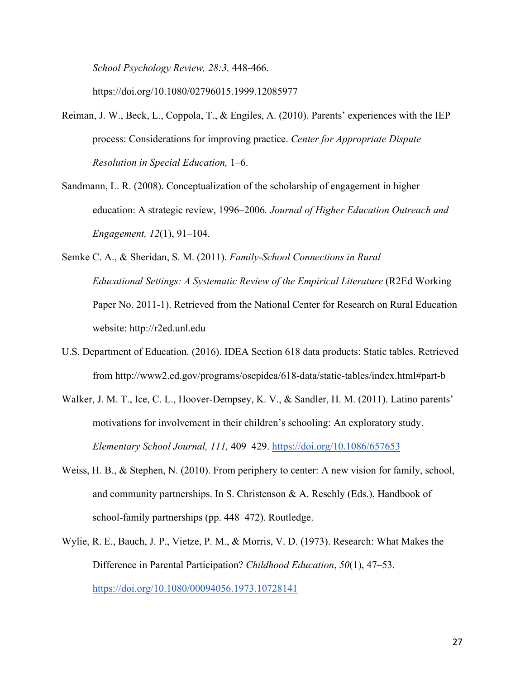*School Psychology Review, 28:3,* 448-466.

https://doi.org[/10.1080/02796015.1999.12085977](https://doi.org/10.1080/02796015.1999.12085977)

- Reiman, J. W., Beck, L., Coppola, T., & Engiles, A. (2010). Parents' experiences with the IEP process: Considerations for improving practice. *Center for Appropriate Dispute Resolution in Special Education,* 1–6.
- Sandmann, L. R. (2008). Conceptualization of the scholarship of engagement in higher education: A strategic review, 1996–2006*. Journal of Higher Education Outreach and Engagement, 12*(1), 91–104.
- Semke C. A., & Sheridan, S. M. (2011). *Family-School Connections in Rural Educational Settings: A Systematic Review of the Empirical Literature* (R2Ed Working Paper No. 2011-1). Retrieved from the National Center for Research on Rural Education website: http://r2ed.unl.edu
- U.S. Department of Education. (2016). IDEA Section 618 data products: Static tables. Retrieved from http://www2.ed.gov/programs/osepidea/618-data/static-tables/index.html#part-b
- Walker, J. M. T., Ice, C. L., Hoover-Dempsey, K. V., & Sandler, H. M. (2011). Latino parents' motivations for involvement in their children's schooling: An exploratory study. *Elementary School Journal, 111,* 409–429.<https://doi.org/10.1086/657653>
- Weiss, H. B., & Stephen, N. (2010). From periphery to center: A new vision for family, school, and community partnerships. In S. Christenson  $\&\,A$ . Reschly (Eds.), Handbook of school-family partnerships (pp. 448–472). Routledge.
- Wylie, R. E., Bauch, J. P., Vietze, P. M., & Morris, V. D. (1973). Research: What Makes the Difference in Parental Participation? *Childhood Education*, *50*(1), 47–53. <https://doi.org/10.1080/00094056.1973.10728141>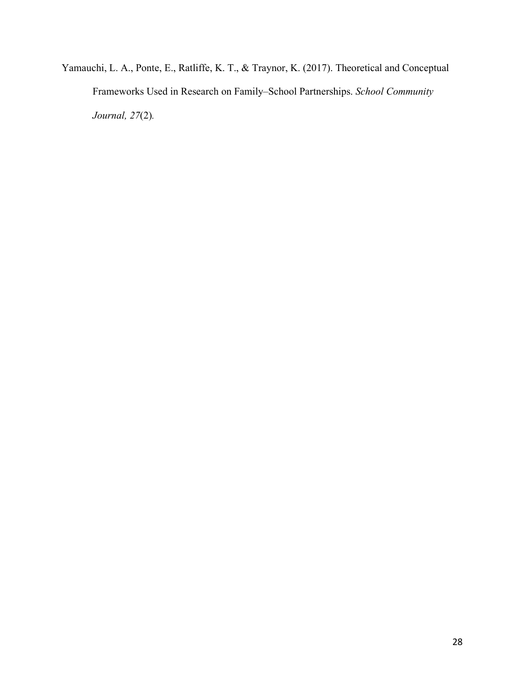Yamauchi, L. A., Ponte, E., Ratliffe, K. T., & Traynor, K. (2017). Theoretical and Conceptual Frameworks Used in Research on Family–School Partnerships. *School Community Journal, 27*(2)*.*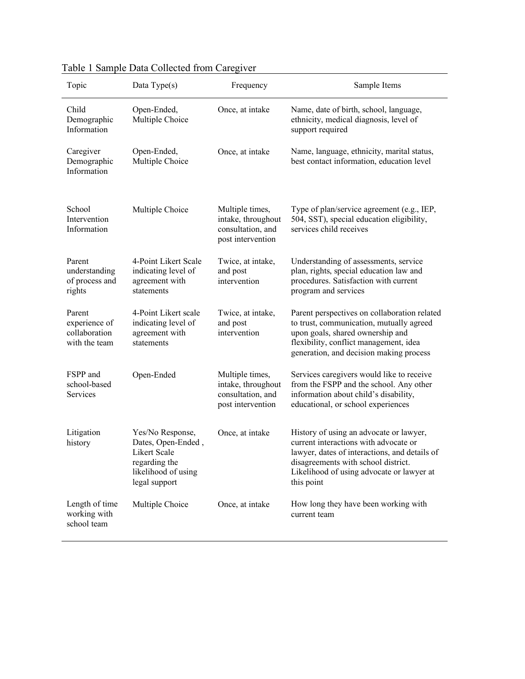| Topic                                                     | $\frac{1}{2}$ . Sumple Data concetted from early $\frac{1}{2}$<br>Data Type(s)                                  | Frequency                                                                       | Sample Items                                                                                                                                                                                                                        |
|-----------------------------------------------------------|-----------------------------------------------------------------------------------------------------------------|---------------------------------------------------------------------------------|-------------------------------------------------------------------------------------------------------------------------------------------------------------------------------------------------------------------------------------|
| Child<br>Demographic<br>Information                       | Open-Ended,<br>Multiple Choice                                                                                  | Once, at intake                                                                 | Name, date of birth, school, language,<br>ethnicity, medical diagnosis, level of<br>support required                                                                                                                                |
| Caregiver<br>Demographic<br>Information                   | Open-Ended,<br>Multiple Choice                                                                                  | Once, at intake                                                                 | Name, language, ethnicity, marital status,<br>best contact information, education level                                                                                                                                             |
| School<br>Intervention<br>Information                     | Multiple Choice                                                                                                 | Multiple times,<br>intake, throughout<br>consultation, and<br>post intervention | Type of plan/service agreement (e.g., IEP,<br>504, SST), special education eligibility,<br>services child receives                                                                                                                  |
| Parent<br>understanding<br>of process and<br>rights       | 4-Point Likert Scale<br>indicating level of<br>agreement with<br>statements                                     | Twice, at intake,<br>and post<br>intervention                                   | Understanding of assessments, service<br>plan, rights, special education law and<br>procedures. Satisfaction with current<br>program and services                                                                                   |
| Parent<br>experience of<br>collaboration<br>with the team | 4-Point Likert scale<br>indicating level of<br>agreement with<br>statements                                     | Twice, at intake,<br>and post<br>intervention                                   | Parent perspectives on collaboration related<br>to trust, communication, mutually agreed<br>upon goals, shared ownership and<br>flexibility, conflict management, idea<br>generation, and decision making process                   |
| FSPP and<br>school-based<br>Services                      | Open-Ended                                                                                                      | Multiple times,<br>intake, throughout<br>consultation, and<br>post intervention | Services caregivers would like to receive<br>from the FSPP and the school. Any other<br>information about child's disability,<br>educational, or school experiences                                                                 |
| Litigation<br>history                                     | Yes/No Response,<br>Dates, Open-Ended,<br>Likert Scale<br>regarding the<br>likelihood of using<br>legal support | Once, at intake                                                                 | History of using an advocate or lawyer,<br>current interactions with advocate or<br>lawyer, dates of interactions, and details of<br>disagreements with school district.<br>Likelihood of using advocate or lawyer at<br>this point |
| Length of time<br>working with<br>school team             | Multiple Choice                                                                                                 | Once, at intake                                                                 | How long they have been working with<br>current team                                                                                                                                                                                |

|  |  |  | Table 1 Sample Data Collected from Caregiver |  |  |
|--|--|--|----------------------------------------------|--|--|
|--|--|--|----------------------------------------------|--|--|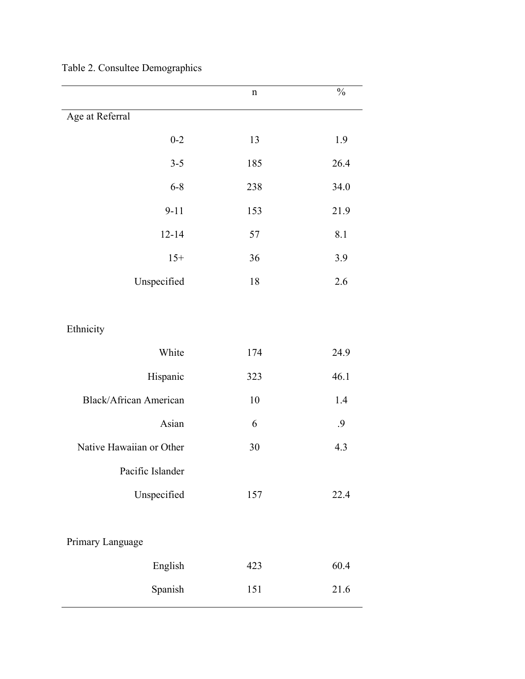|                               | $\mathbf n$ | $\frac{0}{0}$ |
|-------------------------------|-------------|---------------|
| Age at Referral               |             |               |
| $0 - 2$                       | 13          | 1.9           |
| $3 - 5$                       | 185         | 26.4          |
| $6 - 8$                       | 238         | 34.0          |
| $9 - 11$                      | 153         | 21.9          |
| $12 - 14$                     | 57          | 8.1           |
| $15+$                         | 36          | 3.9           |
| Unspecified                   | 18          | 2.6           |
|                               |             |               |
| Ethnicity                     |             |               |
| White                         | 174         | 24.9          |
| Hispanic                      | 323         | 46.1          |
| <b>Black/African American</b> | 10          | 1.4           |
| Asian                         | 6           | .9            |
| Native Hawaiian or Other      | 30          | 4.3           |
| Pacific Islander              |             |               |
| Unspecified                   | 157         | 22.4          |
|                               |             |               |
| Primary Language              |             |               |
| English                       | 423         | 60.4          |
| Spanish                       | 151         | 21.6          |

Table 2. Consultee Demographics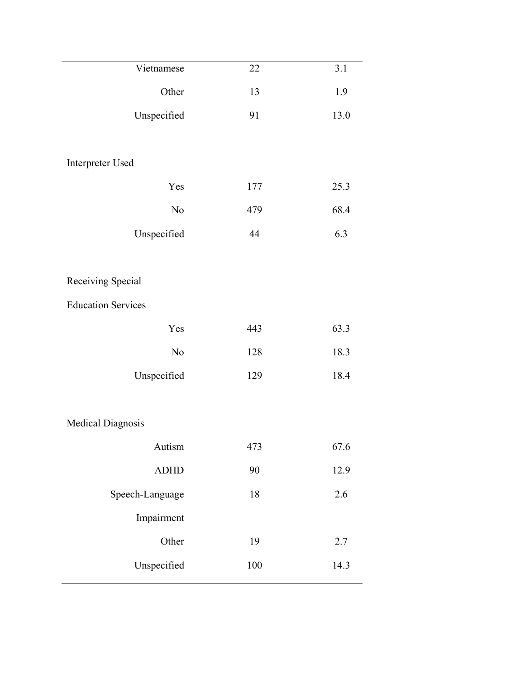| Vietnamese                | 22  | 3.1     |
|---------------------------|-----|---------|
| Other                     | 13  | 1.9     |
| Unspecified               | 91  | 13.0    |
|                           |     |         |
| Interpreter Used          |     |         |
| Yes                       | 177 | 25.3    |
| $\rm No$                  | 479 | 68.4    |
| Unspecified               | 44  | 6.3     |
|                           |     |         |
| Receiving Special         |     |         |
| <b>Education Services</b> |     |         |
| Yes                       | 443 | 63.3    |
| $\rm No$                  | 128 | 18.3    |
| Unspecified               | 129 | 18.4    |
|                           |     |         |
| Medical Diagnosis         |     |         |
| Autism                    | 473 | 67.6    |
| <b>ADHD</b>               | 90  | 12.9    |
| Speech-Language           | 18  | 2.6     |
| Impairment                |     |         |
| Other                     | 19  | $2.7\,$ |
| Unspecified               | 100 | 14.3    |
|                           |     |         |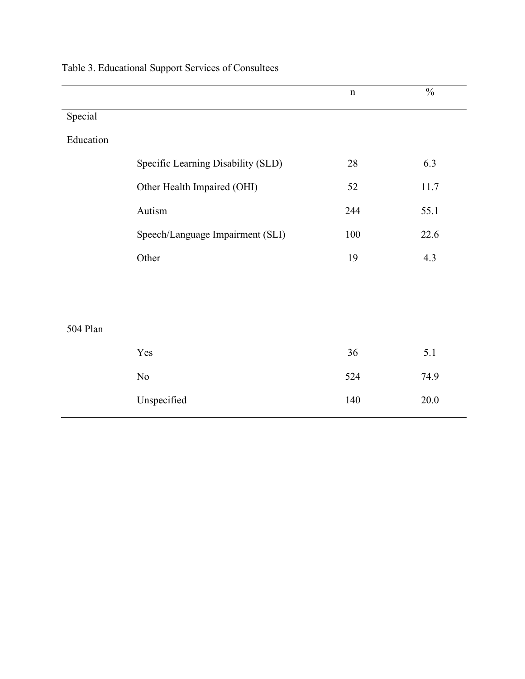|           |                                    | $\mathbf n$ | $\frac{0}{0}$ |
|-----------|------------------------------------|-------------|---------------|
| Special   |                                    |             |               |
| Education |                                    |             |               |
|           | Specific Learning Disability (SLD) | 28          | 6.3           |
|           | Other Health Impaired (OHI)        | 52          | 11.7          |
|           | Autism                             | 244         | 55.1          |
|           | Speech/Language Impairment (SLI)   | 100         | 22.6          |
|           | Other                              | 19          | 4.3           |
|           |                                    |             |               |
|           |                                    |             |               |
| 504 Plan  |                                    |             |               |
|           | Yes                                | 36          | 5.1           |
|           | $\rm No$                           | 524         | 74.9          |
|           | Unspecified                        | 140         | $20.0$        |

## Table 3. Educational Support Services of Consultees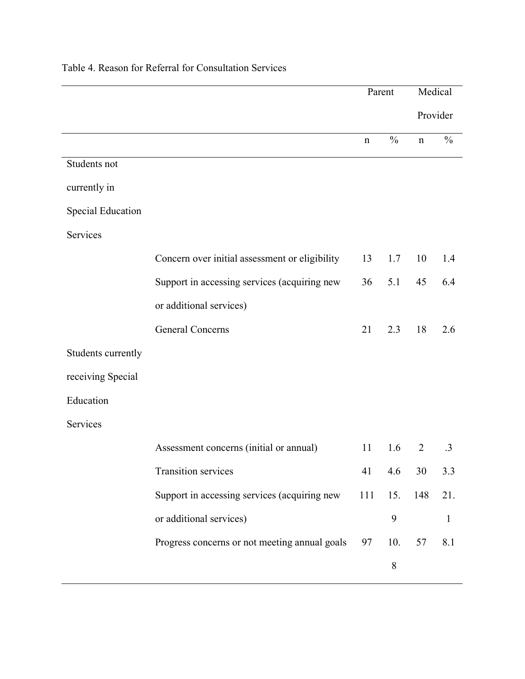|                          |                                                | Parent      |               | Medical        |               |
|--------------------------|------------------------------------------------|-------------|---------------|----------------|---------------|
|                          |                                                |             |               | Provider       |               |
|                          |                                                | $\mathbf n$ | $\frac{0}{0}$ | $\mathbf n$    | $\frac{0}{0}$ |
| Students not             |                                                |             |               |                |               |
| currently in             |                                                |             |               |                |               |
| <b>Special Education</b> |                                                |             |               |                |               |
| Services                 |                                                |             |               |                |               |
|                          | Concern over initial assessment or eligibility | 13          | 1.7           | 10             | 1.4           |
|                          | Support in accessing services (acquiring new   | 36          | 5.1           | 45             | 6.4           |
|                          | or additional services)                        |             |               |                |               |
|                          | <b>General Concerns</b>                        | 21          | 2.3           | 18             | 2.6           |
| Students currently       |                                                |             |               |                |               |
| receiving Special        |                                                |             |               |                |               |
| Education                |                                                |             |               |                |               |
| Services                 |                                                |             |               |                |               |
|                          | Assessment concerns (initial or annual)        | 11          | 1.6           | $\overline{2}$ | $\cdot$ 3     |
|                          | Transition services                            | 41          | 4.6           | 30             | 3.3           |
|                          | Support in accessing services (acquiring new   | 111         | 15.           | 148            | 21.           |
|                          | or additional services)                        |             | 9             |                | $\mathbf{1}$  |
|                          | Progress concerns or not meeting annual goals  | 97          | 10.           | 57             | 8.1           |
|                          |                                                |             | $8\,$         |                |               |

### Table 4. Reason for Referral for Consultation Services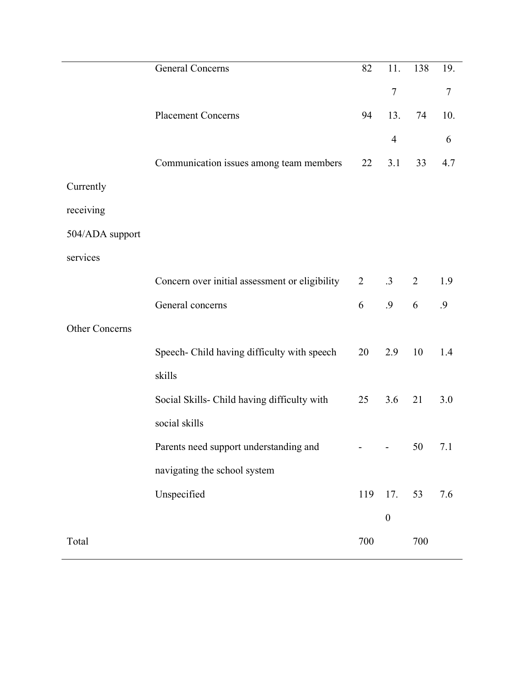|                       | <b>General Concerns</b>                        | 82             | 11.              | 138            | 19. |
|-----------------------|------------------------------------------------|----------------|------------------|----------------|-----|
|                       |                                                |                | $\overline{7}$   |                | 7   |
|                       | <b>Placement Concerns</b>                      | 94             | 13.              | 74             | 10. |
|                       |                                                |                | 4                |                | 6   |
|                       | Communication issues among team members        | 22             | 3.1              | 33             | 4.7 |
| Currently             |                                                |                |                  |                |     |
| receiving             |                                                |                |                  |                |     |
| 504/ADA support       |                                                |                |                  |                |     |
| services              |                                                |                |                  |                |     |
|                       | Concern over initial assessment or eligibility | $\overline{2}$ | $\cdot$ 3        | $\overline{2}$ | 1.9 |
|                       | General concerns                               | 6              | .9               | 6              | .9  |
| <b>Other Concerns</b> |                                                |                |                  |                |     |
|                       | Speech- Child having difficulty with speech    | 20             | 2.9              | 10             | 1.4 |
|                       | skills                                         |                |                  |                |     |
|                       | Social Skills- Child having difficulty with    | 25             | 3.6              | 21             | 3.0 |
|                       | social skills                                  |                |                  |                |     |
|                       | Parents need support understanding and         |                |                  | 50             | 7.1 |
|                       | navigating the school system                   |                |                  |                |     |
|                       | Unspecified                                    | 119            | 17.              | 53             | 7.6 |
|                       |                                                |                | $\boldsymbol{0}$ |                |     |
| Total                 |                                                | 700            |                  | 700            |     |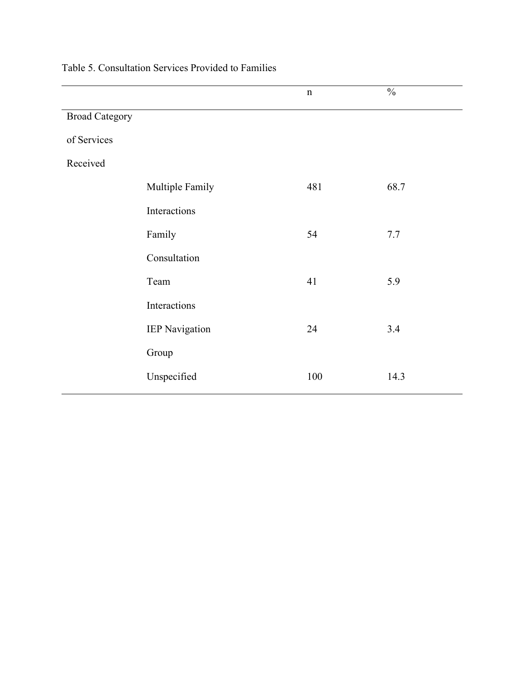|                       |                       | $\mathbf n$ | $\frac{0}{0}$ |
|-----------------------|-----------------------|-------------|---------------|
| <b>Broad Category</b> |                       |             |               |
| of Services           |                       |             |               |
| Received              |                       |             |               |
|                       | Multiple Family       | 481         | 68.7          |
|                       | Interactions          |             |               |
|                       | Family                | 54          | 7.7           |
|                       | Consultation          |             |               |
|                       | Team                  | 41          | 5.9           |
|                       | Interactions          |             |               |
|                       | <b>IEP Navigation</b> | 24          | 3.4           |
|                       | Group                 |             |               |
|                       | Unspecified           | 100         | 14.3          |
|                       |                       |             |               |

Table 5. Consultation Services Provided to Families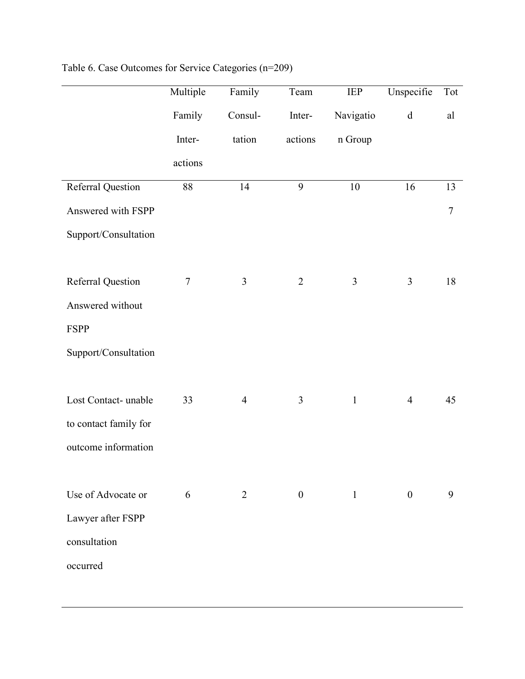|                          | Multiple | Family         | Team           | <b>IEP</b>     | Unspecifie     | Tot        |
|--------------------------|----------|----------------|----------------|----------------|----------------|------------|
|                          | Family   | Consul-        | Inter-         | Navigatio      | $\mathbf d$    | al         |
|                          | Inter-   | tation         | actions        | n Group        |                |            |
|                          | actions  |                |                |                |                |            |
| <b>Referral Question</b> | 88       | 14             | 9              | 10             | 16             | 13         |
| Answered with FSPP       |          |                |                |                |                | $\sqrt{ }$ |
| Support/Consultation     |          |                |                |                |                |            |
|                          |          |                |                |                |                |            |
| <b>Referral Question</b> | $\tau$   | 3              | $\overline{2}$ | $\mathfrak{Z}$ | 3              | 18         |
| Answered without         |          |                |                |                |                |            |
| <b>FSPP</b>              |          |                |                |                |                |            |
| Support/Consultation     |          |                |                |                |                |            |
|                          |          |                |                |                |                |            |
| Lost Contact- unable     | 33       | $\overline{4}$ | $\mathfrak{Z}$ | $\mathbf{1}$   | $\overline{4}$ | 45         |
| to contact family for    |          |                |                |                |                |            |
| outcome information      |          |                |                |                |                |            |
|                          |          |                |                |                |                |            |
| Use of Advocate or       | 6        | 2              | $\overline{0}$ | 1              | $\mathbf{0}$   | 9          |
| Lawyer after FSPP        |          |                |                |                |                |            |
| consultation             |          |                |                |                |                |            |
| occurred                 |          |                |                |                |                |            |
|                          |          |                |                |                |                |            |

## Table 6. Case Outcomes for Service Categories (n=209)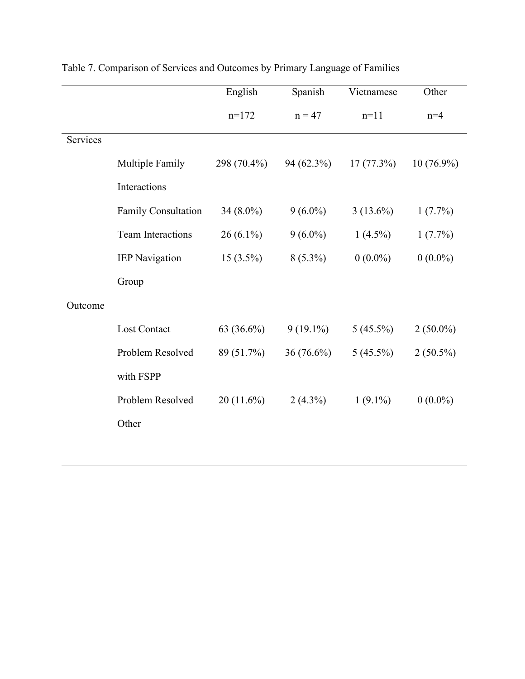|          |                          | English      | Spanish     | Vietnamese   | Other        |
|----------|--------------------------|--------------|-------------|--------------|--------------|
|          |                          | $n=172$      | $n = 47$    | $n=11$       | $n=4$        |
| Services |                          |              |             |              |              |
|          | Multiple Family          | 298 (70.4%)  | 94 (62.3%)  | $17(77.3\%)$ | $10(76.9\%)$ |
|          | Interactions             |              |             |              |              |
|          | Family Consultation      | 34 (8.0%)    | $9(6.0\%)$  | $3(13.6\%)$  | $1(7.7\%)$   |
|          | <b>Team Interactions</b> | $26(6.1\%)$  | $9(6.0\%)$  | $1(4.5\%)$   | $1(7.7\%)$   |
|          | <b>IEP Navigation</b>    | $15(3.5\%)$  | $8(5.3\%)$  | $0(0.0\%)$   | $0(0.0\%)$   |
|          | Group                    |              |             |              |              |
| Outcome  |                          |              |             |              |              |
|          | Lost Contact             | 63 (36.6%)   | $9(19.1\%)$ | $5(45.5\%)$  | $2(50.0\%)$  |
|          | Problem Resolved         | 89 (51.7%)   | 36 (76.6%)  | $5(45.5\%)$  | $2(50.5\%)$  |
|          | with FSPP                |              |             |              |              |
|          | Problem Resolved         | $20(11.6\%)$ | $2(4.3\%)$  | $1(9.1\%)$   | $0(0.0\%)$   |
|          | Other                    |              |             |              |              |
|          |                          |              |             |              |              |

## Table 7. Comparison of Services and Outcomes by Primary Language of Families